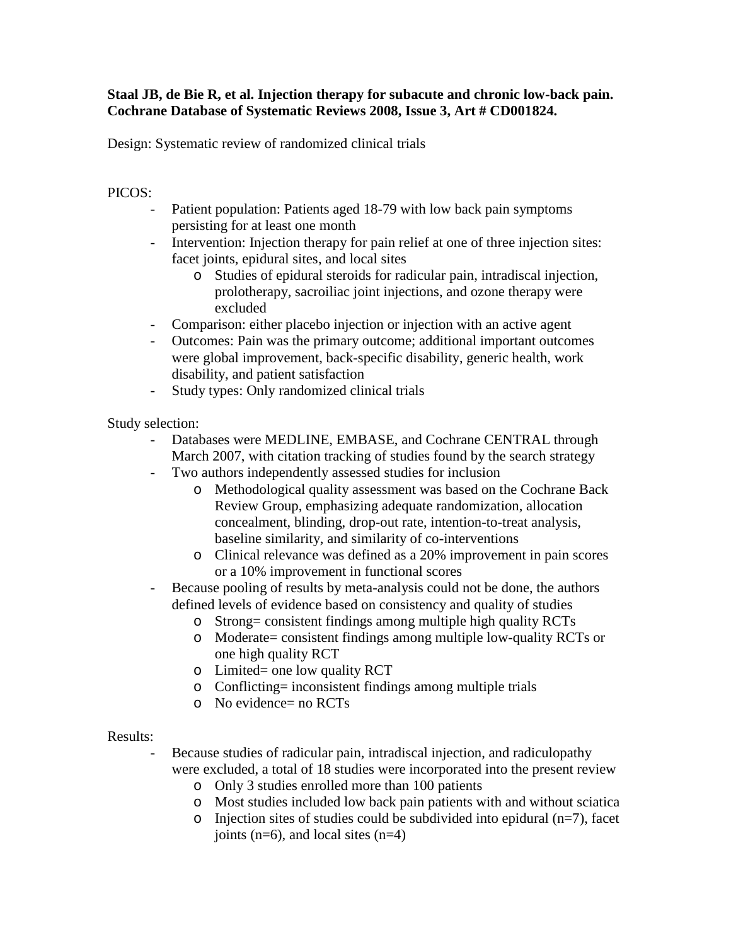## **Staal JB, de Bie R, et al. Injection therapy for subacute and chronic low-back pain. Cochrane Database of Systematic Reviews 2008, Issue 3, Art # CD001824.**

Design: Systematic review of randomized clinical trials

## PICOS:

- Patient population: Patients aged 18-79 with low back pain symptoms persisting for at least one month
- Intervention: Injection therapy for pain relief at one of three injection sites: facet joints, epidural sites, and local sites
	- o Studies of epidural steroids for radicular pain, intradiscal injection, prolotherapy, sacroiliac joint injections, and ozone therapy were excluded
- Comparison: either placebo injection or injection with an active agent
- Outcomes: Pain was the primary outcome; additional important outcomes were global improvement, back-specific disability, generic health, work disability, and patient satisfaction
- Study types: Only randomized clinical trials

Study selection:

- Databases were MEDLINE, EMBASE, and Cochrane CENTRAL through March 2007, with citation tracking of studies found by the search strategy
- Two authors independently assessed studies for inclusion
	- o Methodological quality assessment was based on the Cochrane Back Review Group, emphasizing adequate randomization, allocation concealment, blinding, drop-out rate, intention-to-treat analysis, baseline similarity, and similarity of co-interventions
	- o Clinical relevance was defined as a 20% improvement in pain scores or a 10% improvement in functional scores
- Because pooling of results by meta-analysis could not be done, the authors defined levels of evidence based on consistency and quality of studies
	- o Strong= consistent findings among multiple high quality RCTs
	- o Moderate= consistent findings among multiple low-quality RCTs or one high quality RCT
	- o Limited= one low quality RCT
	- o Conflicting= inconsistent findings among multiple trials
	- o No evidence= no RCTs

## Results:

- Because studies of radicular pain, intradiscal injection, and radiculopathy were excluded, a total of 18 studies were incorporated into the present review
	- o Only 3 studies enrolled more than 100 patients
	- o Most studies included low back pain patients with and without sciatica
	- $\circ$  Injection sites of studies could be subdivided into epidural (n=7), facet joints  $(n=6)$ , and local sites  $(n=4)$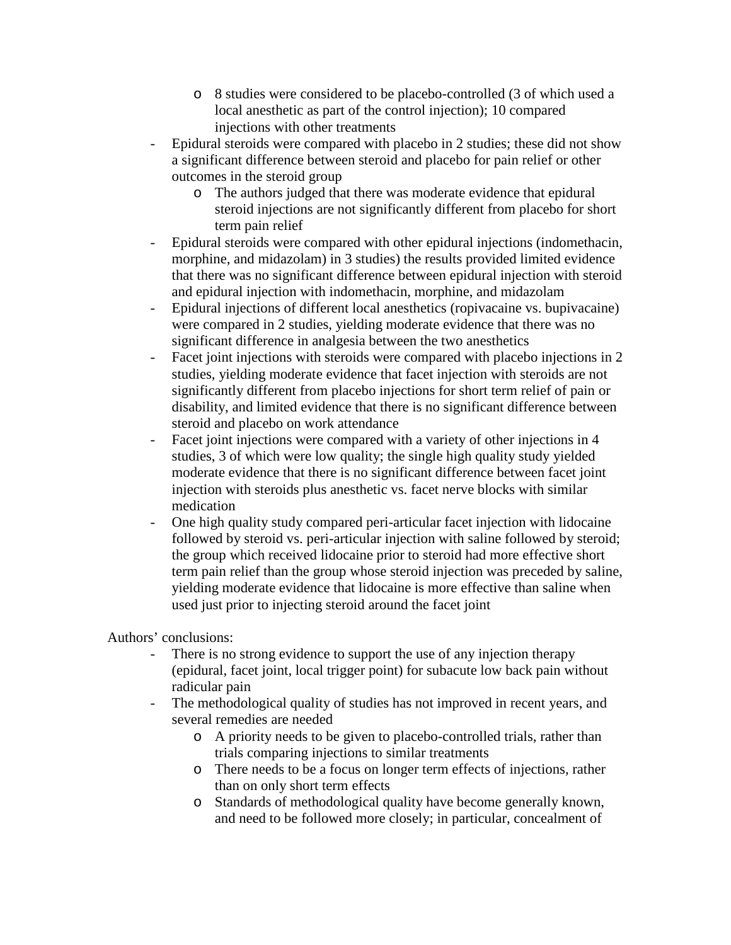- o 8 studies were considered to be placebo-controlled (3 of which used a local anesthetic as part of the control injection); 10 compared injections with other treatments
- Epidural steroids were compared with placebo in 2 studies; these did not show a significant difference between steroid and placebo for pain relief or other outcomes in the steroid group
	- o The authors judged that there was moderate evidence that epidural steroid injections are not significantly different from placebo for short term pain relief
- Epidural steroids were compared with other epidural injections (indomethacin, morphine, and midazolam) in 3 studies) the results provided limited evidence that there was no significant difference between epidural injection with steroid and epidural injection with indomethacin, morphine, and midazolam
- Epidural injections of different local anesthetics (ropivacaine vs. bupivacaine) were compared in 2 studies, yielding moderate evidence that there was no significant difference in analgesia between the two anesthetics
- Facet joint injections with steroids were compared with placebo injections in 2 studies, yielding moderate evidence that facet injection with steroids are not significantly different from placebo injections for short term relief of pain or disability, and limited evidence that there is no significant difference between steroid and placebo on work attendance
- Facet joint injections were compared with a variety of other injections in 4 studies, 3 of which were low quality; the single high quality study yielded moderate evidence that there is no significant difference between facet joint injection with steroids plus anesthetic vs. facet nerve blocks with similar medication
- One high quality study compared peri-articular facet injection with lidocaine followed by steroid vs. peri-articular injection with saline followed by steroid; the group which received lidocaine prior to steroid had more effective short term pain relief than the group whose steroid injection was preceded by saline, yielding moderate evidence that lidocaine is more effective than saline when used just prior to injecting steroid around the facet joint

Authors' conclusions:

- There is no strong evidence to support the use of any injection therapy (epidural, facet joint, local trigger point) for subacute low back pain without radicular pain
- The methodological quality of studies has not improved in recent years, and several remedies are needed
	- o A priority needs to be given to placebo-controlled trials, rather than trials comparing injections to similar treatments
	- o There needs to be a focus on longer term effects of injections, rather than on only short term effects
	- o Standards of methodological quality have become generally known, and need to be followed more closely; in particular, concealment of